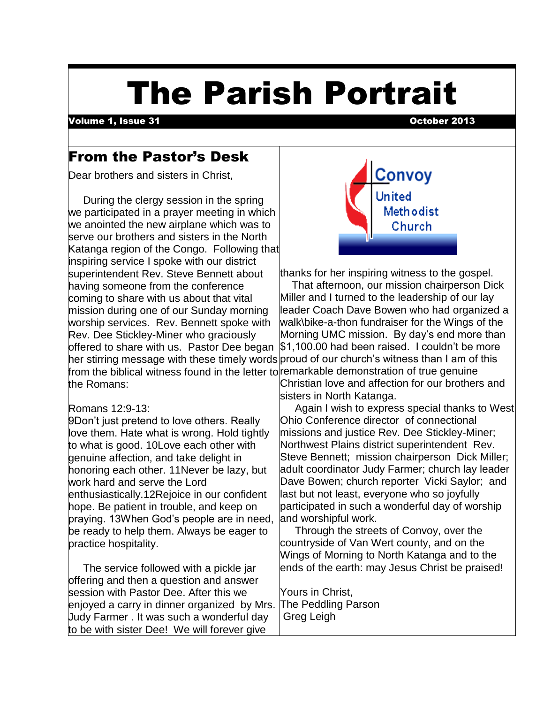# The Parish Portrait

Volume 1, Issue 31 October 2013

 $\overline{\phantom{a}}$ 

## From the Pastor's Desk

Dear brothers and sisters in Christ,

 During the clergy session in the spring we participated in a prayer meeting in which we anointed the new airplane which was to serve our brothers and sisters in the North Katanga region of the Congo. Following that inspiring service I spoke with our district superintendent Rev. Steve Bennett about having someone from the conference coming to share with us about that vital mission during one of our Sunday morning worship services. Rev. Bennett spoke with Rev. Dee Stickley-Miner who graciously offered to share with us. Pastor Dee began from the biblical witness found in the letter to remarkable demonstration of true genuine the Romans:

#### Romans 12:9-13:

9Don't just pretend to love others. Really love them. Hate what is wrong. Hold tightly to what is good. 10Love each other with genuine affection, and take delight in honoring each other. 11Never be lazy, but work hard and serve the Lord enthusiastically.12Rejoice in our confident hope. Be patient in trouble, and keep on praying. 13When God's people are in need, be ready to help them. Always be eager to practice hospitality.

 The service followed with a pickle jar offering and then a question and answer session with Pastor Dee. After this we enjoyed a carry in dinner organized by Mrs. Judy Farmer . It was such a wonderful day to be with sister Dee! We will forever give



thanks for her inspiring witness to the gospel.

her stirring message with these timely words proud of our church's witness than I am of this That afternoon, our mission chairperson Dick Miller and I turned to the leadership of our lay leader Coach Dave Bowen who had organized a walk\bike-a-thon fundraiser for the Wings of the Morning UMC mission. By day's end more than \$1,100.00 had been raised. I couldn't be more Christian love and affection for our brothers and

sisters in North Katanga. Again I wish to express special thanks to West

Ohio Conference director of connectional missions and justice Rev. Dee Stickley-Miner; Northwest Plains district superintendent Rev. Steve Bennett; mission chairperson Dick Miller; adult coordinator Judy Farmer; church lay leader Dave Bowen; church reporter Vicki Saylor; and last but not least, everyone who so joyfully participated in such a wonderful day of worship and worshipful work.

 Through the streets of Convoy, over the countryside of Van Wert county, and on the Wings of Morning to North Katanga and to the ends of the earth: may Jesus Christ be praised!

Yours in Christ, The Peddling Parson Greg Leigh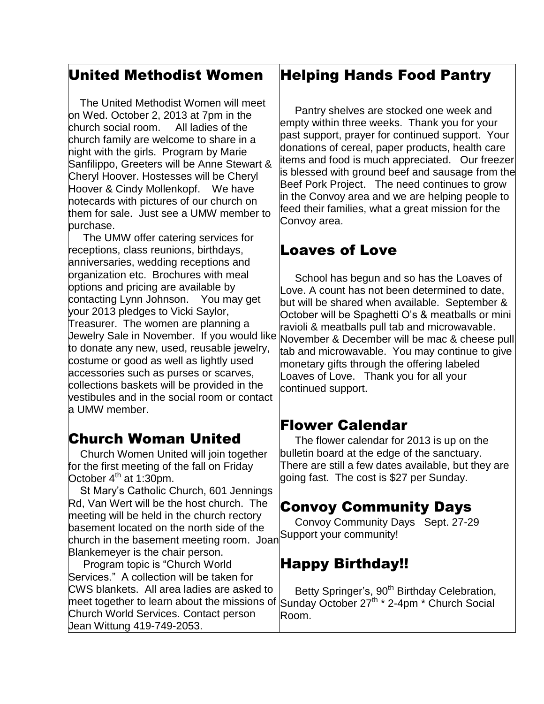#### United Methodist Women

 $\overline{\phantom{a}}$ 

 The United Methodist Women will meet on Wed. October 2, 2013 at 7pm in the church social room. All ladies of the church family are welcome to share in a night with the girls. Program by Marie Sanfilippo, Greeters will be Anne Stewart & Cheryl Hoover. Hostesses will be Cheryl Hoover & Cindy Mollenkopf. We have notecards with pictures of our church on them for sale. Just see a UMW member to purchase.

 The UMW offer catering services for receptions, class reunions, birthdays, anniversaries, wedding receptions and organization etc. Brochures with meal options and pricing are available by contacting Lynn Johnson. You may get your 2013 pledges to Vicki Saylor, Treasurer. The women are planning a Jewelry Sale in November. If you would like to donate any new, used, reusable jewelry, costume or good as well as lightly used accessories such as purses or scarves, collections baskets will be provided in the vestibules and in the social room or contact a UMW member.

# Church Woman United

 Church Women United will join together for the first meeting of the fall on Friday October  $4<sup>th</sup>$  at 1:30pm.

 St Mary's Catholic Church, 601 Jennings Rd, Van Wert will be the host church. The meeting will be held in the church rectory basement located on the north side of the basement located on the north slac of the Support your community! Blankemeyer is the chair person.

 Program topic is "Church World Services." A collection will be taken for CWS blankets. All area ladies are asked to meet together to learn about the missions of Church World Services. Contact person Jean Wittung 419-749-2053.

#### Helping Hands Food Pantry

Pantry shelves are stocked one week and empty within three weeks. Thank you for your past support, prayer for continued support. Your donations of cereal, paper products, health care items and food is much appreciated. Our freezer is blessed with ground beef and sausage from the Beef Pork Project. The need continues to grow in the Convoy area and we are helping people to feed their families, what a great mission for the Convoy area.

#### Loaves of Love

School has begun and so has the Loaves of Love. A count has not been determined to date, but will be shared when available. September & October will be Spaghetti O's & meatballs or mini ravioli & meatballs pull tab and microwavable. November & December will be mac & cheese pull tab and microwavable. You may continue to give monetary gifts through the offering labeled Loaves of Love. Thank you for all your continued support.

#### Flower Calendar

 The flower calendar for 2013 is up on the bulletin board at the edge of the sanctuary. There are still a few dates available, but they are going fast. The cost is \$27 per Sunday.

#### Convoy Community Days

Convoy Community Days Sept. 27-29

#### Happy Birthday!!

Betty Springer's, 90<sup>th</sup> Birthday Celebration, Sunday October 27<sup>th</sup> \* 2-4pm \* Church Social Room.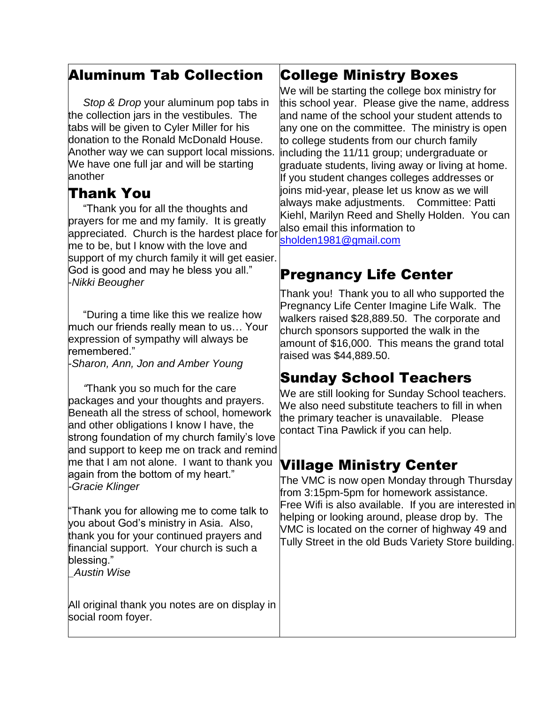## Aluminum Tab Collection

 $\overline{\phantom{a}}$  *Stop & Drop* your aluminum pop tabs in the collection jars in the vestibules. The tabs will be given to Cyler Miller for his donation to the Ronald McDonald House. Another way we can support local missions. We have one full jar and will be starting another

## Thank You

 "Thank you for all the thoughts and prayers for me and my family. It is greatly appreciated. Church is the hardest place for me to be, but I know with the love and support of my church family it will get easier. God is good and may he bless you all." -*Nikki Beougher*

 "During a time like this we realize how much our friends really mean to us… Your expression of sympathy will always be remembered."

-*Sharon, Ann, Jon and Amber Young*

 *"*Thank you so much for the care packages and your thoughts and prayers. Beneath all the stress of school, homework and other obligations I know I have, the strong foundation of my church family's love and support to keep me on track and remind me that I am not alone. I want to thank you again from the bottom of my heart." *-Gracie Klinger*

"Thank you for allowing me to come talk to you about God's ministry in Asia. Also, thank you for your continued prayers and financial support. Your church is such a blessing."

*\_Austin Wise*

All original thank you notes are on display in social room foyer.

## College Ministry Boxes

We will be starting the college box ministry for this school year. Please give the name, address and name of the school your student attends to any one on the committee. The ministry is open to college students from our church family including the 11/11 group; undergraduate or graduate students, living away or living at home. If you student changes colleges addresses or joins mid-year, please let us know as we will always make adjustments. Committee: Patti Kiehl, Marilyn Reed and Shelly Holden. You can also email this information to

[sholden1981@gmail.com](mailto:sholden1981@gmail.com)

# Pregnancy Life Center

Thank you! Thank you to all who supported the Pregnancy Life Center Imagine Life Walk. The walkers raised \$28,889.50. The corporate and church sponsors supported the walk in the amount of \$16,000. This means the grand total raised was \$44,889.50.

# Sunday School Teachers

We are still looking for Sunday School teachers. We also need substitute teachers to fill in when the primary teacher is unavailable. Please contact Tina Pawlick if you can help.

# Village Ministry Center

The VMC is now open Monday through Thursday from 3:15pm-5pm for homework assistance. Free Wifi is also available. If you are interested in helping or looking around, please drop by. The VMC is located on the corner of highway 49 and Tully Street in the old Buds Variety Store building.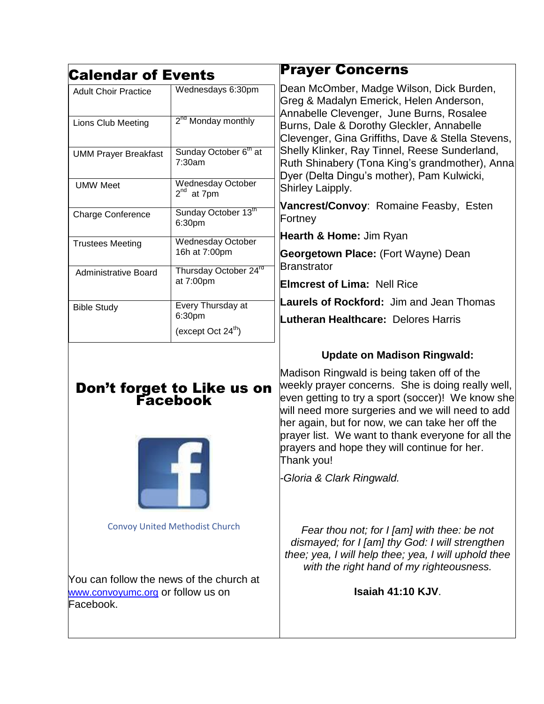| <b>Calendar of Events</b>                                                                  |                                             | <b>Prayer Concerns</b>                                                                                                                                                                                                                                                                                                                                                                                                                                      |
|--------------------------------------------------------------------------------------------|---------------------------------------------|-------------------------------------------------------------------------------------------------------------------------------------------------------------------------------------------------------------------------------------------------------------------------------------------------------------------------------------------------------------------------------------------------------------------------------------------------------------|
| <b>Adult Choir Practice</b>                                                                | Wednesdays 6:30pm                           | Dean McOmber, Madge Wilson, Dick Burden,<br>Greg & Madalyn Emerick, Helen Anderson,<br>Annabelle Clevenger, June Burns, Rosalee<br>Burns, Dale & Dorothy Gleckler, Annabelle<br>Clevenger, Gina Griffiths, Dave & Stella Stevens,<br>Shelly Klinker, Ray Tinnel, Reese Sunderland,<br>Ruth Shinabery (Tona King's grandmother), Anna<br>Dyer (Delta Dingu's mother), Pam Kulwicki,<br>Shirley Laipply.<br>Vancrest/Convoy: Romaine Feasby, Esten<br>Fortney |
| Lions Club Meeting                                                                         | 2 <sup>nd</sup> Monday monthly              |                                                                                                                                                                                                                                                                                                                                                                                                                                                             |
| <b>UMM Prayer Breakfast</b>                                                                | Sunday October 6 <sup>th</sup> at<br>7:30am |                                                                                                                                                                                                                                                                                                                                                                                                                                                             |
| <b>UMW Meet</b>                                                                            | <b>Wednesday October</b><br>$2^{nd}$ at 7pm |                                                                                                                                                                                                                                                                                                                                                                                                                                                             |
| <b>Charge Conference</b>                                                                   | Sunday October 13 <sup>th</sup><br>6:30pm   |                                                                                                                                                                                                                                                                                                                                                                                                                                                             |
| <b>Trustees Meeting</b>                                                                    | <b>Wednesday October</b>                    | Hearth & Home: Jim Ryan                                                                                                                                                                                                                                                                                                                                                                                                                                     |
|                                                                                            | 16h at 7:00pm                               | Georgetown Place: (Fort Wayne) Dean<br><b>Branstrator</b><br><b>Elmcrest of Lima: Nell Rice</b>                                                                                                                                                                                                                                                                                                                                                             |
| <b>Administrative Board</b>                                                                | Thursday October 24rd<br>at 7:00pm          |                                                                                                                                                                                                                                                                                                                                                                                                                                                             |
| <b>Bible Study</b>                                                                         | Every Thursday at                           | <b>Laurels of Rockford:</b> Jim and Jean Thomas                                                                                                                                                                                                                                                                                                                                                                                                             |
|                                                                                            | 6:30pm<br>(except Oct 24 <sup>th</sup> )    | Lutheran Healthcare: Delores Harris                                                                                                                                                                                                                                                                                                                                                                                                                         |
| Don't forget to Like us on<br>Facebook                                                     |                                             | <b>Update on Madison Ringwald:</b>                                                                                                                                                                                                                                                                                                                                                                                                                          |
|                                                                                            |                                             | Madison Ringwald is being taken off of the<br>weekly prayer concerns. She is doing really well,<br>even getting to try a sport (soccer)! We know she<br>will need more surgeries and we will need to add<br>her again, but for now, we can take her off the<br>prayer list. We want to thank everyone for all the<br>prayers and hope they will continue for her.<br>Thank you!                                                                             |
|                                                                                            |                                             | -Gloria & Clark Ringwald.                                                                                                                                                                                                                                                                                                                                                                                                                                   |
| <b>Convoy United Methodist Church</b>                                                      |                                             | Fear thou not; for I [am] with thee: be not<br>dismayed; for I [am] thy God: I will strengthen<br>thee; yea, I will help thee; yea, I will uphold thee<br>with the right hand of my righteousness.                                                                                                                                                                                                                                                          |
| You can follow the news of the church at<br>www.convoyumc.org or follow us on<br>Facebook. |                                             | <b>Isaiah 41:10 KJV.</b>                                                                                                                                                                                                                                                                                                                                                                                                                                    |